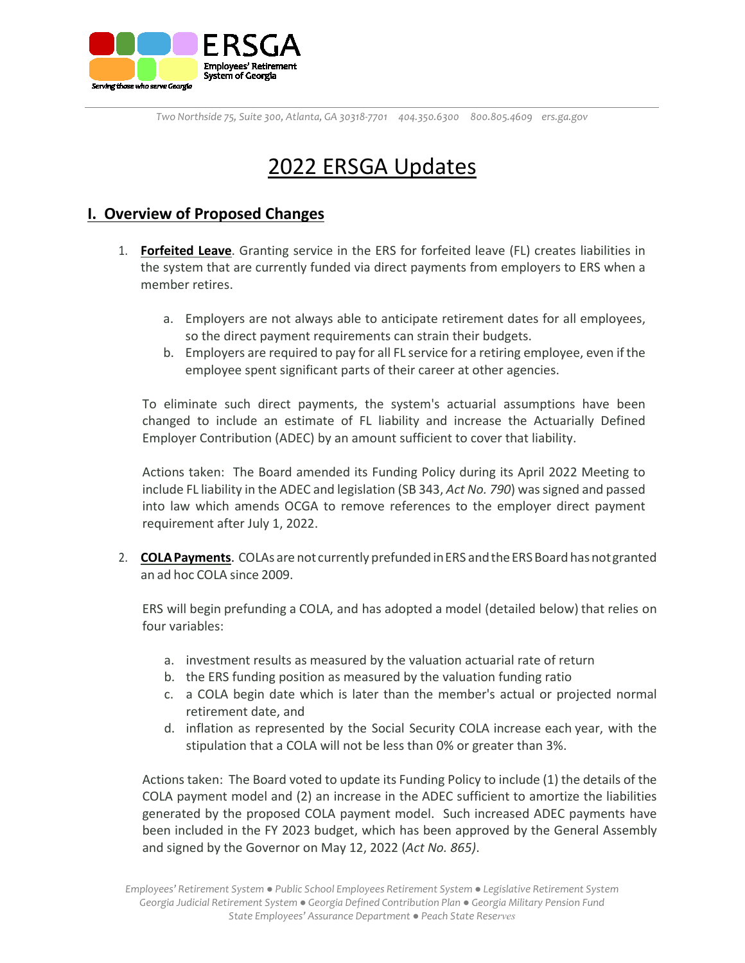

# 2022 ERSGA Updates

# **I. Overview of Proposed Changes**

- 1. **Forfeited Leave**. Granting service in the ERS for forfeited leave (FL) creates liabilities in the system that are currently funded via direct payments from employers to ERS when a member retires.
	- a. Employers are not always able to anticipate retirement dates for all employees, so the direct payment requirements can strain their budgets.
	- b. Employers are required to pay for all FL service for a retiring employee, even if the employee spent significant parts of their career at other agencies.

To eliminate such direct payments, the system's actuarial assumptions have been changed to include an estimate of FL liability and increase the Actuarially Defined Employer Contribution (ADEC) by an amount sufficient to cover that liability.

Actions taken: The Board amended its Funding Policy during its April 2022 Meeting to include FL liability in the ADEC and legislation (SB 343, *Act No. 790*) was signed and passed into law which amends OCGA to remove references to the employer direct payment requirement after July 1, 2022.

2. **COLA Payments.** COLAs are not currently prefunded in ERS and the ERS Board has not granted an ad hoc COLA since 2009.

ERS will begin prefunding a COLA, and has adopted a model (detailed below) that relies on four variables:

- a. investment results as measured by the valuation actuarial rate of return
- b. the ERS funding position as measured by the valuation funding ratio
- c. a COLA begin date which is later than the member's actual or projected normal retirement date, and
- d. inflation as represented by the Social Security COLA increase each year, with the stipulation that a COLA will not be less than 0% or greater than 3%.

Actions taken: The Board voted to update its Funding Policy to include (1) the details of the COLA payment model and (2) an increase in the ADEC sufficient to amortize the liabilities generated by the proposed COLA payment model. Such increased ADEC payments have been included in the FY 2023 budget, which has been approved by the General Assembly and signed by the Governor on May 12, 2022 (*Act No. 865)*.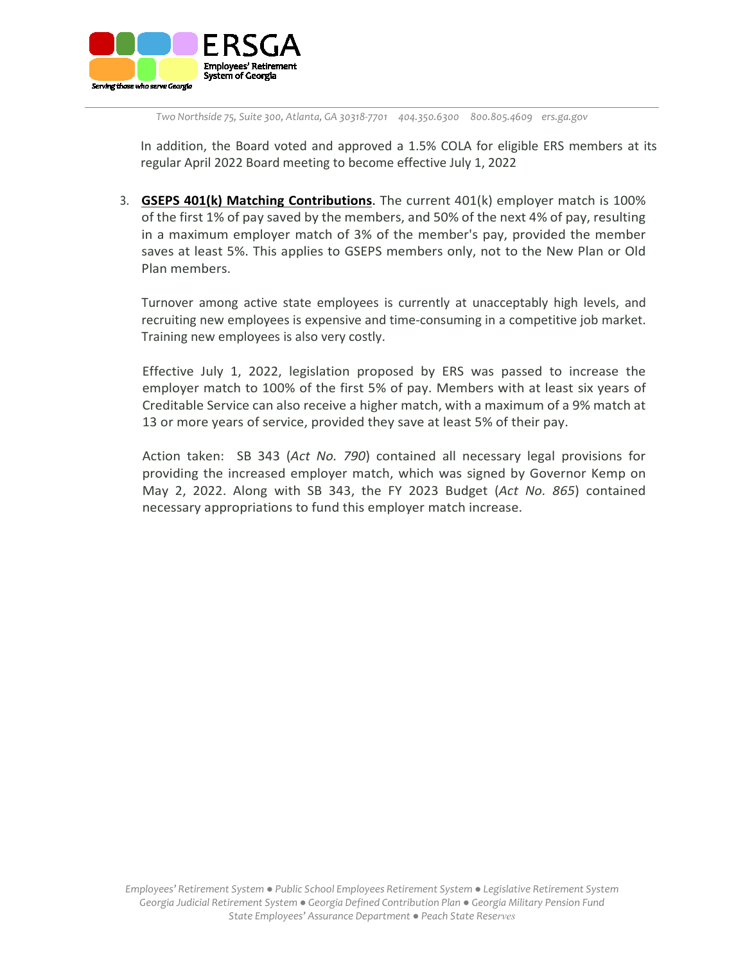

In addition, the Board voted and approved a 1.5% COLA for eligible ERS members at its regular April 2022 Board meeting to become effective July 1, 2022

3. **GSEPS 401(k) Matching Contributions**. The current 401(k) employer match is 100% of the first 1% of pay saved by the members, and 50% of the next 4% of pay, resulting in a maximum employer match of 3% of the member's pay, provided the member saves at least 5%. This applies to GSEPS members only, not to the New Plan or Old Plan members.

Turnover among active state employees is currently at unacceptably high levels, and recruiting new employees is expensive and time-consuming in a competitive job market. Training new employees is also very costly.

Effective July 1, 2022, legislation proposed by ERS was passed to increase the employer match to 100% of the first 5% of pay. Members with at least six years of Creditable Service can also receive a higher match, with a maximum of a 9% match at 13 or more years of service, provided they save at least 5% of their pay.

Action taken: SB 343 (*Act No. 790*) contained all necessary legal provisions for providing the increased employer match, which was signed by Governor Kemp on May 2, 2022. Along with SB 343, the FY 2023 Budget (*Act No. 865*) contained necessary appropriations to fund this employer match increase.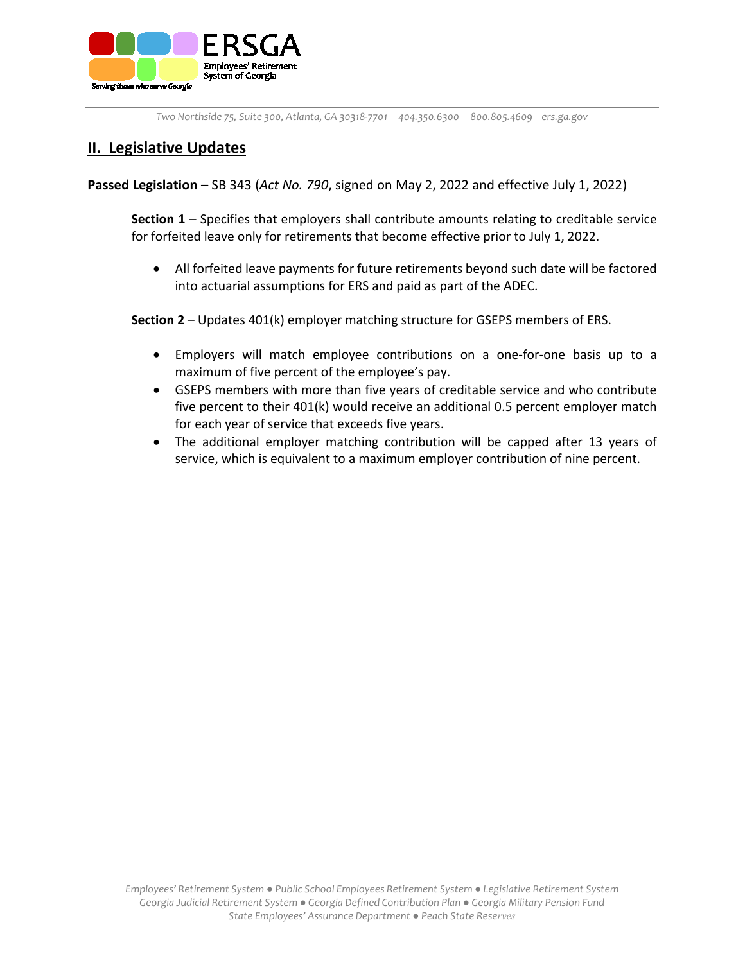

# **II. Legislative Updates**

**Passed Legislation** – SB 343 (*Act No. 790*, signed on May 2, 2022 and effective July 1, 2022)

**Section 1** – Specifies that employers shall contribute amounts relating to creditable service for forfeited leave only for retirements that become effective prior to July 1, 2022.

• All forfeited leave payments for future retirements beyond such date will be factored into actuarial assumptions for ERS and paid as part of the ADEC.

**Section 2** – Updates 401(k) employer matching structure for GSEPS members of ERS.

- Employers will match employee contributions on a one-for-one basis up to a maximum of five percent of the employee's pay.
- GSEPS members with more than five years of creditable service and who contribute five percent to their 401(k) would receive an additional 0.5 percent employer match for each year of service that exceeds five years.
- The additional employer matching contribution will be capped after 13 years of service, which is equivalent to a maximum employer contribution of nine percent.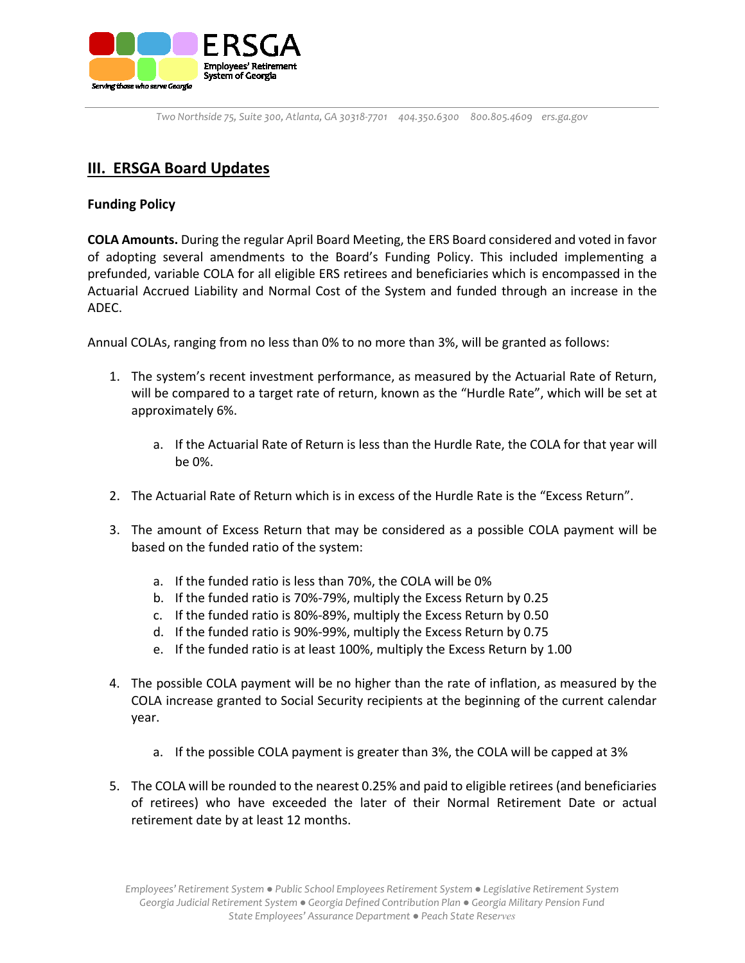

# **III. ERSGA Board Updates**

## **Funding Policy**

**COLA Amounts.** During the regular April Board Meeting, the ERS Board considered and voted in favor of adopting several amendments to the Board's Funding Policy. This included implementing a prefunded, variable COLA for all eligible ERS retirees and beneficiaries which is encompassed in the Actuarial Accrued Liability and Normal Cost of the System and funded through an increase in the ADEC.

Annual COLAs, ranging from no less than 0% to no more than 3%, will be granted as follows:

- 1. The system's recent investment performance, as measured by the Actuarial Rate of Return, will be compared to a target rate of return, known as the "Hurdle Rate", which will be set at approximately 6%.
	- a. If the Actuarial Rate of Return is less than the Hurdle Rate, the COLA for that year will be 0%.
- 2. The Actuarial Rate of Return which is in excess of the Hurdle Rate is the "Excess Return".
- 3. The amount of Excess Return that may be considered as a possible COLA payment will be based on the funded ratio of the system:
	- a. If the funded ratio is less than 70%, the COLA will be 0%
	- b. If the funded ratio is 70%-79%, multiply the Excess Return by 0.25
	- c. If the funded ratio is 80%-89%, multiply the Excess Return by 0.50
	- d. If the funded ratio is 90%-99%, multiply the Excess Return by 0.75
	- e. If the funded ratio is at least 100%, multiply the Excess Return by 1.00
- 4. The possible COLA payment will be no higher than the rate of inflation, as measured by the COLA increase granted to Social Security recipients at the beginning of the current calendar year.
	- a. If the possible COLA payment is greater than 3%, the COLA will be capped at 3%
- 5. The COLA will be rounded to the nearest 0.25% and paid to eligible retirees (and beneficiaries of retirees) who have exceeded the later of their Normal Retirement Date or actual retirement date by at least 12 months.